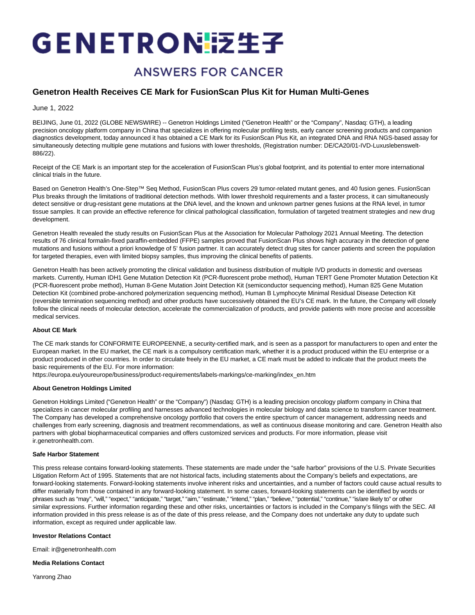# GENETRONI泛生子

## **ANSWERS FOR CANCER**

### **Genetron Health Receives CE Mark for FusionScan Plus Kit for Human Multi-Genes**

June 1, 2022

BEIJING, June 01, 2022 (GLOBE NEWSWIRE) -- Genetron Holdings Limited ("Genetron Health" or the "Company", Nasdaq: GTH), a leading precision oncology platform company in China that specializes in offering molecular profiling tests, early cancer screening products and companion diagnostics development, today announced it has obtained a CE Mark for its FusionScan Plus Kit, an integrated DNA and RNA NGS-based assay for simultaneously detecting multiple gene mutations and fusions with lower thresholds, (Registration number: DE/CA20/01-IVD-Luxuslebenswelt-886/22).

Receipt of the CE Mark is an important step for the acceleration of FusionScan Plus's global footprint, and its potential to enter more international clinical trials in the future.

Based on Genetron Health's One-Step™ Seq Method, FusionScan Plus covers 29 tumor-related mutant genes, and 40 fusion genes. FusionScan Plus breaks through the limitations of traditional detection methods. With lower threshold requirements and a faster process, it can simultaneously detect sensitive or drug-resistant gene mutations at the DNA level, and the known and unknown partner genes fusions at the RNA level, in tumor tissue samples. It can provide an effective reference for clinical pathological classification, formulation of targeted treatment strategies and new drug development.

Genetron Health revealed the study results on FusionScan Plus at the Association for Molecular Pathology 2021 Annual Meeting. The detection results of 76 clinical formalin-fixed paraffin-embedded (FFPE) samples proved that FusionScan Plus shows high accuracy in the detection of gene mutations and fusions without a priori knowledge of 5' fusion partner. It can accurately detect drug sites for cancer patients and screen the population for targeted therapies, even with limited biopsy samples, thus improving the clinical benefits of patients.

Genetron Health has been actively promoting the clinical validation and business distribution of multiple IVD products in domestic and overseas markets. Currently, Human IDH1 Gene Mutation Detection Kit (PCR-fluorescent probe method), Human TERT Gene Promoter Mutation Detection Kit (PCR-fluorescent probe method), Human 8-Gene Mutation Joint Detection Kit (semiconductor sequencing method), Human 825 Gene Mutation Detection Kit (combined probe-anchored polymerization sequencing method), Human B Lymphocyte Minimal Residual Disease Detection Kit (reversible termination sequencing method) and other products have successively obtained the EU's CE mark. In the future, the Company will closely follow the clinical needs of molecular detection, accelerate the commercialization of products, and provide patients with more precise and accessible medical services.

#### **About CE Mark**

The CE mark stands for CONFORMITE EUROPEENNE, a security-certified mark, and is seen as a passport for manufacturers to open and enter the European market. In the EU market, the CE mark is a compulsory certification mark, whether it is a product produced within the EU enterprise or a product produced in other countries. In order to circulate freely in the EU market, a CE mark must be added to indicate that the product meets the basic requirements of the EU. For more information:

https://europa.eu/youreurope/business/product-requirements/labels-markings/ce-marking/index\_en.htm

#### **About Genetron Holdings Limited**

Genetron Holdings Limited ("Genetron Health" or the "Company") (Nasdaq: GTH) is a leading precision oncology platform company in China that specializes in cancer molecular profiling and harnesses advanced technologies in molecular biology and data science to transform cancer treatment. The Company has developed a comprehensive oncology portfolio that covers the entire spectrum of cancer management, addressing needs and challenges from early screening, diagnosis and treatment recommendations, as well as continuous disease monitoring and care. Genetron Health also partners with global biopharmaceutical companies and offers customized services and products. For more information, please visit ir.genetronhealth.com.

#### **Safe Harbor Statement**

This press release contains forward-looking statements. These statements are made under the "safe harbor" provisions of the U.S. Private Securities Litigation Reform Act of 1995. Statements that are not historical facts, including statements about the Company's beliefs and expectations, are forward-looking statements. Forward-looking statements involve inherent risks and uncertainties, and a number of factors could cause actual results to differ materially from those contained in any forward-looking statement. In some cases, forward-looking statements can be identified by words or phrases such as "may", "will," "expect," "anticipate," "target," "aim," "estimate," "intend," "plan," "believe," "potential," "continue," "is/are likely to" or other similar expressions. Further information regarding these and other risks, uncertainties or factors is included in the Company's filings with the SEC. All information provided in this press release is as of the date of this press release, and the Company does not undertake any duty to update such information, except as required under applicable law.

#### **Investor Relations Contact**

Email: ir@genetronhealth.com

**Media Relations Contact**

Yanrong Zhao